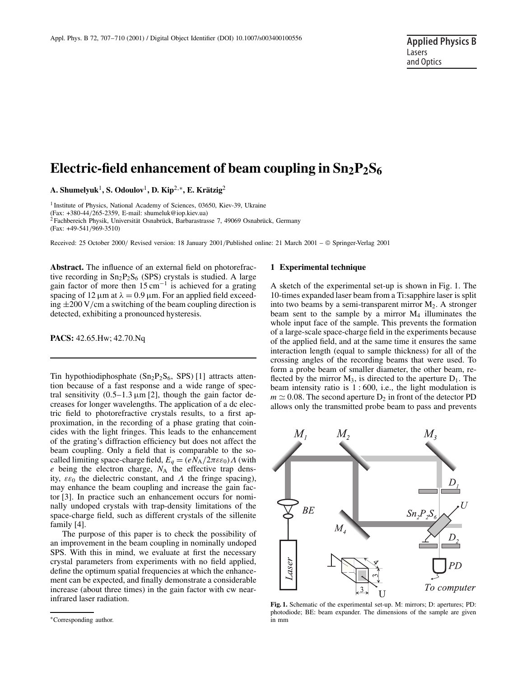# Electric-field enhancement of beam coupling in  $Sn_2P_2S_6$

**A. Shumelyuk**1**, S. Odoulov**1**, D. Kip**2,∗**, E. Krätzig**<sup>2</sup>

<sup>1</sup> Institute of Physics, National Academy of Sciences, 03650, Kiev-39, Ukraine (Fax:  $+380-44/265-2359$ , E-mail: shumeluk@iop.kiev.ua)

<sup>2</sup> Fachbereich Physik, Universität Osnabrück, Barbarastrasse 7, 49069 Osnabrück, Germany

(Fax: +49-541/969-3510)

Received: 25 October 2000/ Revised version: 18 January 2001/Published online: 21 March 2001 – © Springer-Verlag 2001

**Abstract.** The influence of an external field on photorefractive recording in  $Sn_2P_2S_6$  (SPS) crystals is studied. A large gain factor of more then  $15 \text{ cm}^{-1}$  is achieved for a grating spacing of 12  $\mu$ m at  $\lambda = 0.9 \mu$ m. For an applied field exceeding  $\pm 200$  V/cm a switching of the beam coupling direction is detected, exhibiting a pronounced hysteresis.

**PACS:** 42.65.Hw; 42.70.Nq

Tin hypothiodiphosphate  $(Sn_2P_2S_6, SPS)$  [1] attracts attention because of a fast response and a wide range of spectral sensitivity  $(0.5-1.3 \,\mu\text{m}$  [2], though the gain factor decreases for longer wavelengths. The application of a dc electric field to photorefractive crystals results, to a first approximation, in the recording of a phase grating that coincides with the light fringes. This leads to the enhancement of the grating's diffraction efficiency but does not affect the beam coupling. Only a field that is comparable to the socalled limiting space-charge field,  $E_a = (eN_A/2\pi\epsilon\epsilon_0)\Lambda$  (with *e* being the electron charge, *N*<sup>A</sup> the effective trap density,  $\varepsilon \varepsilon_0$  the dielectric constant, and  $\Lambda$  the fringe spacing), may enhance the beam coupling and increase the gain factor [3]. In practice such an enhancement occurs for nominally undoped crystals with trap-density limitations of the space-charge field, such as different crystals of the sillenite family [4].

The purpose of this paper is to check the possibility of an improvement in the beam coupling in nominally undoped SPS. With this in mind, we evaluate at first the necessary crystal parameters from experiments with no field applied, define the optimum spatial frequencies at which the enhancement can be expected, and finally demonstrate a considerable increase (about three times) in the gain factor with cw nearinfrared laser radiation.

#### **1 Experimental technique**

A sketch of the experimental set-up is shown in Fig. 1. The 10-times expanded laser beam from a Ti:sapphire laser is split into two beams by a semi-transparent mirror  $M_2$ . A stronger beam sent to the sample by a mirror  $M_4$  illuminates the whole input face of the sample. This prevents the formation of a large-scale space-charge field in the experiments because of the applied field, and at the same time it ensures the same interaction length (equal to sample thickness) for all of the crossing angles of the recording beams that were used. To form a probe beam of smaller diameter, the other beam, reflected by the mirror  $M_3$ , is directed to the aperture  $D_1$ . The beam intensity ratio is  $1:600$ , i.e., the light modulation is  $m \approx 0.08$ . The second aperture  $D_2$  in front of the detector PD allows only the transmitted probe beam to pass and prevents



**Fig. 1.** Schematic of the experimental set-up. M: mirrors; D: apertures; PD: photodiode; BE: beam expander. The dimensions of the sample are given in mm

<sup>∗</sup>Corresponding author.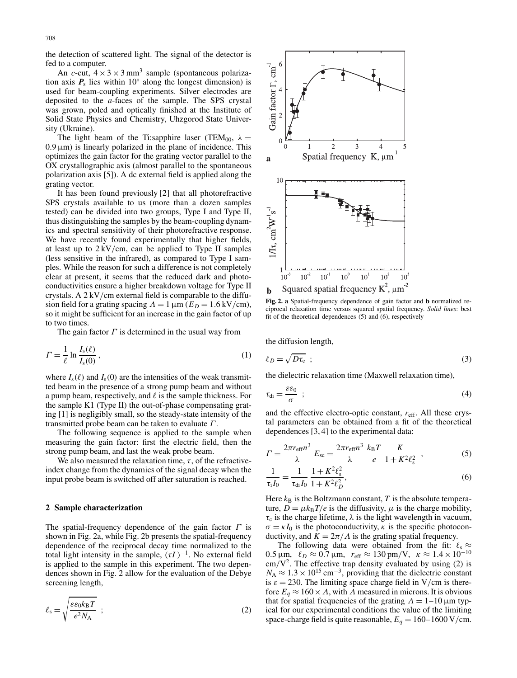the detection of scattered light. The signal of the detector is fed to a computer.

An *c*-cut,  $4 \times 3 \times 3$  mm<sup>3</sup> sample (spontaneous polarization axis  $P_s$  lies within 10<sup>°</sup> along the longest dimension) is used for beam-coupling experiments. Silver electrodes are deposited to the *a*-faces of the sample. The SPS crystal was grown, poled and optically finished at the Institute of Solid State Physics and Chemistry, Uhzgorod State University (Ukraine).

The light beam of the Ti:sapphire laser (TEM<sub>00</sub>,  $\lambda =$  $0.9 \,\mu\text{m}$ ) is linearly polarized in the plane of incidence. This optimizes the gain factor for the grating vector parallel to the OX crystallographic axis (almost parallel to the spontaneous polarization axis [5]). A dc external field is applied along the grating vector.

It has been found previously [2] that all photorefractive SPS crystals available to us (more than a dozen samples tested) can be divided into two groups, Type I and Type II, thus distinguishing the samples by the beam-coupling dynamics and spectral sensitivity of their photorefractive response. We have recently found experimentally that higher fields, at least up to  $2 \frac{kV}{cm}$ , can be applied to Type II samples (less sensitive in the infrared), as compared to Type I samples. While the reason for such a difference is not completely clear at present, it seems that the reduced dark and photoconductivities ensure a higher breakdown voltage for Type II crystals. A 2 kV/cm external field is comparable to the diffusion field for a grating spacing  $Λ = 1 \mu m$  ( $E_D = 1.6 \text{ kV/cm}$ ), so it might be sufficient for an increase in the gain factor of up to two times.

The gain factor  $\Gamma$  is determined in the usual way from

$$
\Gamma = \frac{1}{\ell} \ln \frac{I_s(\ell)}{I_s(0)},\tag{1}
$$

where  $I_s(\ell)$  and  $I_s(0)$  are the intensities of the weak transmitted beam in the presence of a strong pump beam and without a pump beam, respectively, and  $\ell$  is the sample thickness. For the sample K1 (Type II) the out-of-phase compensating grating [1] is negligibly small, so the steady-state intensity of the transmitted probe beam can be taken to evaluate  $\Gamma$ .

The following sequence is applied to the sample when measuring the gain factor: first the electric field, then the strong pump beam, and last the weak probe beam.

We also measured the relaxation time,  $\tau$ , of the refractiveindex change from the dynamics of the signal decay when the input probe beam is switched off after saturation is reached.

## **2 Sample characterization**

The spatial-frequency dependence of the gain factor  $\Gamma$  is shown in Fig. 2a, while Fig. 2b presents the spatial-frequency dependence of the reciprocal decay time normalized to the total light intensity in the sample,  $(\tau I)^{-1}$ . No external field is applied to the sample in this experiment. The two dependences shown in Fig. 2 allow for the evaluation of the Debye screening length,

$$
\ell_{\rm s} = \sqrt{\frac{\varepsilon \varepsilon_0 k_{\rm B} T}{e^2 N_{\rm A}}} \tag{2}
$$



**Fig. 2. a** Spatial-frequency dependence of gain factor and **b** normalized reciprocal relaxation time versus squared spatial frequency. *Solid lines*: best fit of the theoretical dependences (5) and (6), respectively

the diffusion length,

$$
\ell_D = \sqrt{D\tau_c} \quad ; \tag{3}
$$

the dielectric relaxation time (Maxwell relaxation time),

$$
\tau_{\rm di} = \frac{\varepsilon \varepsilon_0}{\sigma} \quad ; \tag{4}
$$

and the effective electro-optic constant, *r*eff. All these crystal parameters can be obtained from a fit of the theoretical dependences [3, 4] to the experimental data:

$$
\Gamma = \frac{2\pi r_{\text{eff}} n^3}{\lambda} E_{\text{sc}} = \frac{2\pi r_{\text{eff}} n^3}{\lambda} \frac{k_{\text{B}} T}{e} \frac{K}{1 + K^2 \ell_{\text{s}}^2} \tag{5}
$$

$$
\frac{1}{\tau_i I_0} = \frac{1}{\tau_{di} I_0} \frac{1 + K^2 \ell_s^2}{1 + K^2 \ell_D^2},\tag{6}
$$

Here  $k_B$  is the Boltzmann constant,  $T$  is the absolute temperature,  $D = \mu k_B T/e$  is the diffusivity,  $\mu$  is the charge mobility,  $\tau_c$  is the charge lifetime,  $\lambda$  is the light wavelength in vacuum,  $\sigma = \kappa I_0$  is the photoconductivity,  $\kappa$  is the specific photoconductivity, and  $K = 2\pi/\Lambda$  is the grating spatial frequency.

The following data were obtained from the fit:  $\ell_s \approx$ 0.5 μm,  $\ell_D \approx 0.7$  μm,  $r_{\text{eff}} \approx 130$  pm/V,  $\kappa \approx 1.4 \times 10^{-10}$  $\text{cm}/\text{V}^2$ . The effective trap density evaluated by using (2) is  $N_A \approx 1.3 \times 10^{15}$  cm<sup>-3</sup>, providing that the dielectric constant is  $\varepsilon = 230$ . The limiting space charge field in V/cm is therefore  $E_q \approx 160 \times \Lambda$ , with  $\Lambda$  measured in microns. It is obvious that for spatial frequencies of the grating  $Λ = 1-10 \mu m$  typical for our experimental conditions the value of the limiting space-charge field is quite reasonable,  $E_q = 160 - 1600 \text{ V/cm}$ .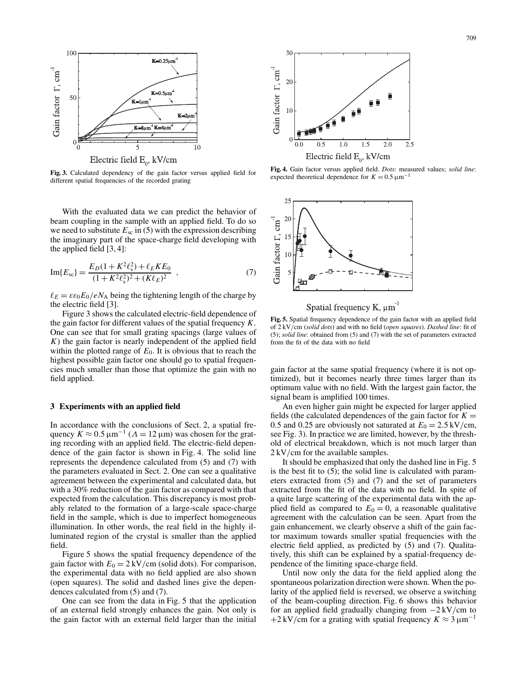

**Fig. 3.** Calculated dependency of the gain factor versus applied field for different spatial frequencies of the recorded grating

With the evaluated data we can predict the behavior of beam coupling in the sample with an applied field. To do so we need to substitute  $E_{\rm sc}$  in (5) with the expression describing the imaginary part of the space-charge field developing with the applied field [3, 4]:

Im{
$$
E_{sc}
$$
} =  $\frac{E_D(1 + K^2 \ell_s^2) + \ell_E K E_0}{(1 + K^2 \ell_s^2)^2 + (K \ell_E)^2}$ , (7)

 $\ell_E = \varepsilon \varepsilon_0 E_0 / eN_A$  being the tightening length of the charge by the electric field [3].

Figure 3 shows the calculated electric-field dependence of the gain factor for different values of the spatial frequency *K*. One can see that for small grating spacings (large values of *K*) the gain factor is nearly independent of the applied field within the plotted range of  $E_0$ . It is obvious that to reach the highest possible gain factor one should go to spatial frequencies much smaller than those that optimize the gain with no field applied.

### **3 Experiments with an applied field**

In accordance with the conclusions of Sect. 2, a spatial frequency  $K \approx 0.5 \,\mathrm{\upmu m^{-1}}$  ( $\Lambda = 12 \,\mathrm{\upmu m}$ ) was chosen for the grating recording with an applied field. The electric-field dependence of the gain factor is shown in Fig. 4. The solid line represents the dependence calculated from (5) and (7) with the parameters evaluated in Sect. 2. One can see a qualitative agreement between the experimental and calculated data, but with a 30% reduction of the gain factor as compared with that expected from the calculation. This discrepancy is most probably related to the formation of a large-scale space-charge field in the sample, which is due to imperfect homogeneous illumination. In other words, the real field in the highly illuminated region of the crystal is smaller than the applied field.

Figure 5 shows the spatial frequency dependence of the gain factor with  $E_0 = 2 \text{ kV/cm}$  (solid dots). For comparison, the experimental data with no field applied are also shown (open squares). The solid and dashed lines give the dependences calculated from (5) and (7).

One can see from the data in Fig. 5 that the application of an external field strongly enhances the gain. Not only is the gain factor with an external field larger than the initial



**Fig. 4.** Gain factor versus applied field. *Dots*: measured values; *solid line*: expected theoretical dependence for  $K = 0.5 \,\mathrm{\mu m}^{-1}$ 



Spatial frequency K,  $\mu$ m<sup>1</sup>

**Fig. 5.** Spatial frequency dependence of the gain factor with an applied field of 2 kV/cm (*solid dots*) and with no field (*open squares*). *Dashed line*: fit of (5); *solid line*: obtained from (5) and (7) with the set of parameters extracted from the fit of the data with no field

gain factor at the same spatial frequency (where it is not optimized), but it becomes nearly three times larger than its optimum value with no field. With the largest gain factor, the signal beam is amplified 100 times.

An even higher gain might be expected for larger applied fields (the calculated dependences of the gain factor for  $K =$ 0.5 and 0.25 are obviously not saturated at  $E_0 = 2.5 \text{ kV/cm}$ , see Fig. 3). In practice we are limited, however, by the threshold of electrical breakdown, which is not much larger than 2 kV/cm for the available samples.

It should be emphasized that only the dashed line in Fig. 5 is the best fit to (5); the solid line is calculated with parameters extracted from (5) and (7) and the set of parameters extracted from the fit of the data with no field. In spite of a quite large scattering of the experimental data with the applied field as compared to  $E_0 = 0$ , a reasonable qualitative agreement with the calculation can be seen. Apart from the gain enhancement, we clearly observe a shift of the gain factor maximum towards smaller spatial frequencies with the electric field applied, as predicted by (5) and (7). Qualitatively, this shift can be explained by a spatial-frequency dependence of the limiting space-charge field.

Until now only the data for the field applied along the spontaneous polarization direction were shown. When the polarity of the applied field is reversed, we observe a switching of the beam-coupling direction. Fig. 6 shows this behavior for an applied field gradually changing from −2 kV/cm to  $+2$  kV/cm for a grating with spatial frequency  $K \approx 3 \mu m^{-1}$